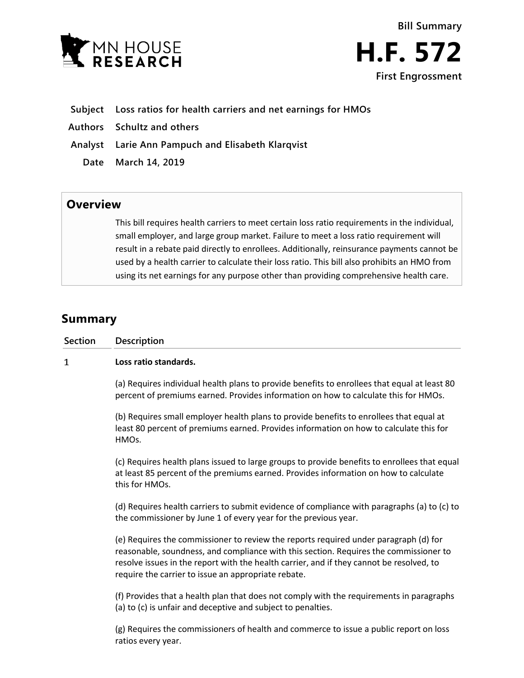



- **Subject Loss ratios for health carriers and net earnings for HMOs**
- **Authors Schultz and others**
- **Analyst Larie Ann Pampuch and Elisabeth Klarqvist**
	- **Date March 14, 2019**

## **Overview**

This bill requires health carriers to meet certain loss ratio requirements in the individual, small employer, and large group market. Failure to meet a loss ratio requirement will result in a rebate paid directly to enrollees. Additionally, reinsurance payments cannot be used by a health carrier to calculate their loss ratio. This bill also prohibits an HMO from using its net earnings for any purpose other than providing comprehensive health care.

# **Summary**

| <b>Section</b> | Description                                                                                                                                                                                                                                                                                                                      |
|----------------|----------------------------------------------------------------------------------------------------------------------------------------------------------------------------------------------------------------------------------------------------------------------------------------------------------------------------------|
| 1              | Loss ratio standards.                                                                                                                                                                                                                                                                                                            |
|                | (a) Requires individual health plans to provide benefits to enrollees that equal at least 80<br>percent of premiums earned. Provides information on how to calculate this for HMOs.                                                                                                                                              |
|                | (b) Requires small employer health plans to provide benefits to enrollees that equal at<br>least 80 percent of premiums earned. Provides information on how to calculate this for<br>HMOs.                                                                                                                                       |
|                | (c) Requires health plans issued to large groups to provide benefits to enrollees that equal<br>at least 85 percent of the premiums earned. Provides information on how to calculate<br>this for HMOs.                                                                                                                           |
|                | (d) Requires health carriers to submit evidence of compliance with paragraphs (a) to (c) to<br>the commissioner by June 1 of every year for the previous year.                                                                                                                                                                   |
|                | (e) Requires the commissioner to review the reports required under paragraph (d) for<br>reasonable, soundness, and compliance with this section. Requires the commissioner to<br>resolve issues in the report with the health carrier, and if they cannot be resolved, to<br>require the carrier to issue an appropriate rebate. |
|                | (f) Provides that a health plan that does not comply with the requirements in paragraphs<br>(a) to (c) is unfair and deceptive and subject to penalties.                                                                                                                                                                         |
|                | (g) Requires the commissioners of health and commerce to issue a public report on loss<br>ratios every year.                                                                                                                                                                                                                     |
|                |                                                                                                                                                                                                                                                                                                                                  |